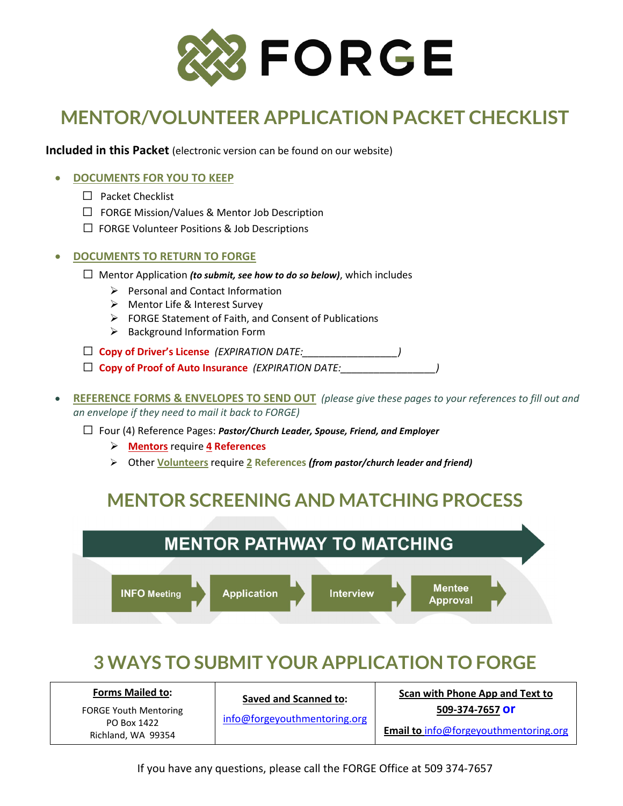

# **MENTOR/VOLUNTEER APPLICATION PACKET CHECKLIST**

**Included in this Packet** (electronic version can be found on our website)

#### • **DOCUMENTS FOR YOU TO KEEP**

- ☐ Packet Checklist
- ☐ FORGE Mission/Values & Mentor Job Description
- ☐ FORGE Volunteer Positions & Job Descriptions

#### • **DOCUMENTS TO RETURN TO FORGE**

- ☐ Mentor Application *(to submit, see how to do so below)*, which includes
	- $\triangleright$  Personal and Contact Information
	- Mentor Life & Interest Survey
	- $\triangleright$  FORGE Statement of Faith, and Consent of Publications
	- $\triangleright$  Background Information Form

☐ **Copy of Driver's License** *(EXPIRATION DATE:\_\_\_\_\_\_\_\_\_\_\_\_\_\_\_\_\_)*

- □ **Copy of Proof of Auto Insurance** *(EXPIRATION DATE:*
- **REFERENCE FORMS & ENVELOPES TO SEND OUT** *(please give these pages to your references to fill out and an envelope if they need to mail it back to FORGE)*

☐ Four (4) Reference Pages: *Pastor/Church Leader, Spouse, Friend, and Employer*

- **Mentors** require **4 References**
- Other **Volunteers** require **2 References** *(from pastor/church leader and friend)*

## **MENTOR SCREENING AND MATCHING PROCESS**



## **3 WAYS TO SUBMIT YOUR APPLICATION TO FORGE**

| <b>Forms Mailed to:</b>           | <b>Saved and Scanned to:</b><br>info@forgeyouthmentoring.org | Scan with Phone App and Text to              |  |  |
|-----------------------------------|--------------------------------------------------------------|----------------------------------------------|--|--|
| <b>FORGE Youth Mentoring</b>      |                                                              | 509-374-7657 Or                              |  |  |
| PO Box 1422<br>Richland, WA 99354 |                                                              | <b>Email to info@forgeyouthmentoring.org</b> |  |  |

If you have any questions, please call the FORGE Office at 509 374-7657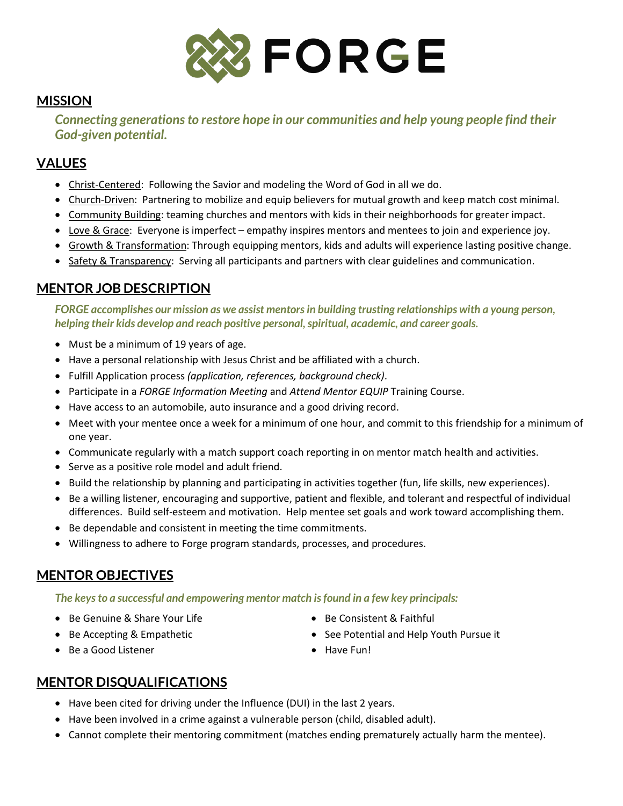

#### **MISSION**

*Connecting generations to restore hope in our communities and help young people find their God-given potential.*

## **VALUES**

- Christ-Centered: Following the Savior and modeling the Word of God in all we do.
- Church-Driven: Partnering to mobilize and equip believers for mutual growth and keep match cost minimal.
- Community Building: teaming churches and mentors with kids in their neighborhoods for greater impact.
- Love & Grace: Everyone is imperfect empathy inspires mentors and mentees to join and experience joy.
- Growth & Transformation: Through equipping mentors, kids and adults will experience lasting positive change.
- Safety & Transparency: Serving all participants and partners with clear guidelines and communication.

### **MENTOR JOB DESCRIPTION**

*FORGE accomplishes our mission as we assist mentors in building trusting relationships with a young person, helping their kids develop and reach positive personal, spiritual, academic, and career goals.*

- Must be a minimum of 19 years of age.
- Have a personal relationship with Jesus Christ and be affiliated with a church.
- Fulfill Application process *(application, references, background check)*.
- Participate in a *FORGE Information Meeting* and *Attend Mentor EQUIP* Training Course.
- Have access to an automobile, auto insurance and a good driving record.
- Meet with your mentee once a week for a minimum of one hour, and commit to this friendship for a minimum of one year.
- Communicate regularly with a match support coach reporting in on mentor match health and activities.
- Serve as a positive role model and adult friend.
- Build the relationship by planning and participating in activities together (fun, life skills, new experiences).
- Be a willing listener, encouraging and supportive, patient and flexible, and tolerant and respectful of individual differences. Build self-esteem and motivation. Help mentee set goals and work toward accomplishing them.
- Be dependable and consistent in meeting the time commitments.
- Willingness to adhere to Forge program standards, processes, and procedures.

### **MENTOR OBJECTIVES**

#### *The keys to a successful and empowering mentor match is found in a few key principals:*

- Be Genuine & Share Your Life
- Be Accepting & Empathetic
- Be a Good Listener
- Be Consistent & Faithful
- See Potential and Help Youth Pursue it
- Have Fun!

### **MENTOR DISQUALIFICATIONS**

- Have been cited for driving under the Influence (DUI) in the last 2 years.
- Have been involved in a crime against a vulnerable person (child, disabled adult).
- Cannot complete their mentoring commitment (matches ending prematurely actually harm the mentee).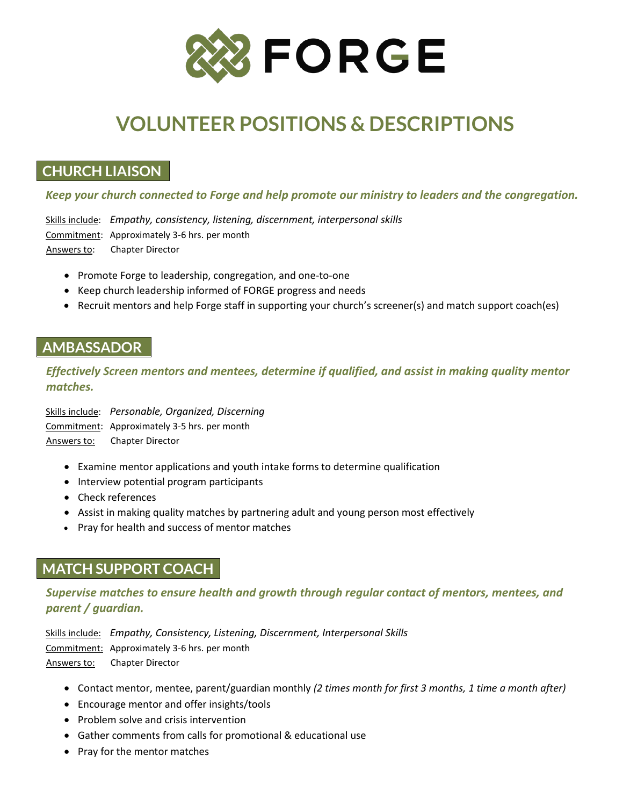

# **VOLUNTEER POSITIONS & DESCRIPTIONS**

## **CHURCH LIAISON**

*Keep your church connected to Forge and help promote our ministry to leaders and the congregation.*

Skills include: *Empathy, consistency, listening, discernment, interpersonal skills* Commitment: Approximately 3-6 hrs. per month Answers to: Chapter Director

- Promote Forge to leadership, congregation, and one-to-one
- Keep church leadership informed of FORGE progress and needs
- Recruit mentors and help Forge staff in supporting your church's screener(s) and match support coach(es)

### **AMBASSADOR**

*Effectively Screen mentors and mentees, determine if qualified, and assist in making quality mentor matches.*

Skills include: *Personable, Organized, Discerning* Commitment: Approximately 3-5 hrs. per month Answers to: Chapter Director

- Examine mentor applications and youth intake forms to determine qualification
- Interview potential program participants
- Check references
- Assist in making quality matches by partnering adult and young person most effectively
- Pray for health and success of mentor matches

## **MATCH SUPPORT COACH**

*Supervise matches to ensure health and growth through regular contact of mentors, mentees, and parent / guardian.*

Skills include: *Empathy, Consistency, Listening, Discernment, Interpersonal Skills* Commitment: Approximately 3-6 hrs. per month Answers to: Chapter Director

- Contact mentor, mentee, parent/guardian monthly *(2 times month for first 3 months, 1 time a month after)*
- Encourage mentor and offer insights/tools
- Problem solve and crisis intervention
- Gather comments from calls for promotional & educational use
- Pray for the mentor matches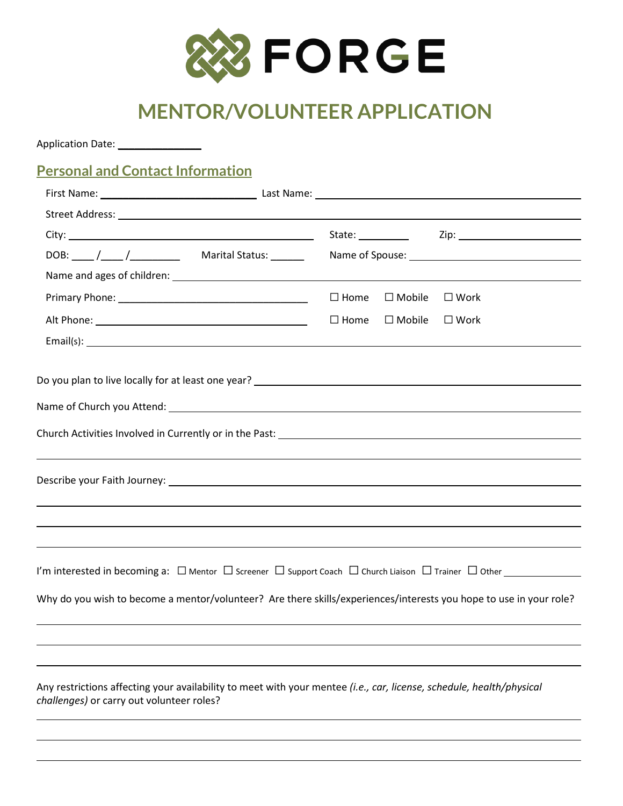

# **MENTOR/VOLUNTEER APPLICATION**

| <b>Personal and Contact Information</b>                                                                                                                                                                                                                  |                                    |                                                                                                                |
|----------------------------------------------------------------------------------------------------------------------------------------------------------------------------------------------------------------------------------------------------------|------------------------------------|----------------------------------------------------------------------------------------------------------------|
|                                                                                                                                                                                                                                                          |                                    |                                                                                                                |
|                                                                                                                                                                                                                                                          |                                    |                                                                                                                |
|                                                                                                                                                                                                                                                          |                                    | State: <u>Zip: Zip: Zip:</u> Zip:                                                                              |
|                                                                                                                                                                                                                                                          |                                    | Name of Spouse: 1998 and 2008 and 2008 and 2008 and 2008 and 2008 and 2008 and 2008 and 2008 and 2008 and 2008 |
|                                                                                                                                                                                                                                                          |                                    |                                                                                                                |
|                                                                                                                                                                                                                                                          | $\square$ Home<br>$\square$ Mobile | $\square$ Work                                                                                                 |
|                                                                                                                                                                                                                                                          | $\square$ Home<br>$\square$ Mobile | $\square$ Work                                                                                                 |
| Email(s): <u>contract the contract of the contract of the contract of the contract of the contract of the contract of the contract of the contract of the contract of the contract of the contract of the contract of the contra</u>                     |                                    |                                                                                                                |
|                                                                                                                                                                                                                                                          |                                    |                                                                                                                |
| I'm interested in becoming a: $\Box$ Mentor $\Box$ Screener $\Box$ Support Coach $\Box$ Church Liaison $\Box$ Trainer $\Box$ Other<br>Why do you wish to become a mentor/volunteer? Are there skills/experiences/interests you hope to use in your role? |                                    |                                                                                                                |
|                                                                                                                                                                                                                                                          |                                    |                                                                                                                |
| Any restrictions affecting your availability to meet with your mentee (i.e., car, license, schedule, health/physical<br>challenges) or carry out volunteer roles?                                                                                        |                                    |                                                                                                                |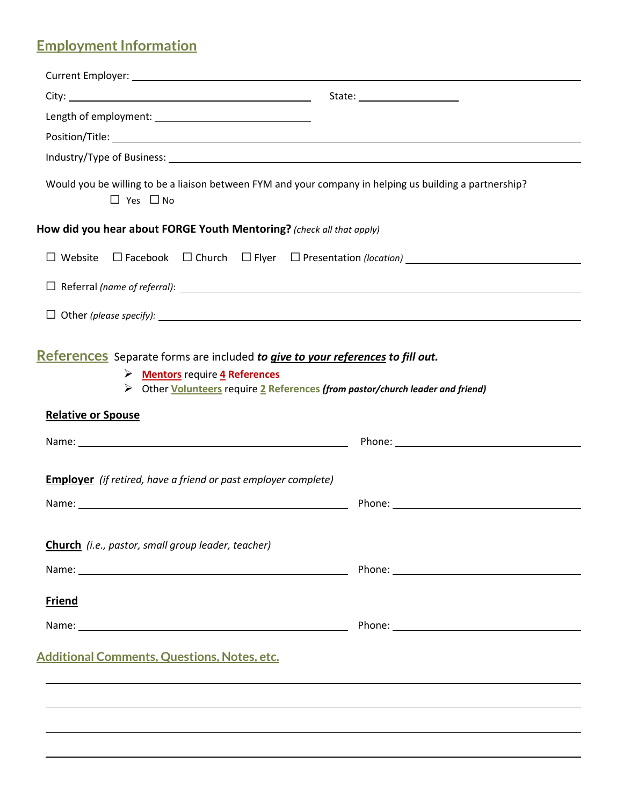## **Employment Information**

|                                                                                                                                                                                                                                 | State: _____________________                                                                                                                                                                                                   |
|---------------------------------------------------------------------------------------------------------------------------------------------------------------------------------------------------------------------------------|--------------------------------------------------------------------------------------------------------------------------------------------------------------------------------------------------------------------------------|
|                                                                                                                                                                                                                                 |                                                                                                                                                                                                                                |
|                                                                                                                                                                                                                                 |                                                                                                                                                                                                                                |
|                                                                                                                                                                                                                                 |                                                                                                                                                                                                                                |
| Would you be willing to be a liaison between FYM and your company in helping us building a partnership?<br>$\Box$ Yes $\Box$ No                                                                                                 |                                                                                                                                                                                                                                |
| How did you hear about FORGE Youth Mentoring? (check all that apply)                                                                                                                                                            |                                                                                                                                                                                                                                |
| □ Website □ Facebook □ Church □ Flyer □ Presentation (location) ___________________________________                                                                                                                             |                                                                                                                                                                                                                                |
|                                                                                                                                                                                                                                 |                                                                                                                                                                                                                                |
|                                                                                                                                                                                                                                 |                                                                                                                                                                                                                                |
| References Separate forms are included to give to your references to fill out.<br>> Mentors require 4 References<br>> Other Volunteers require 2 References (from pastor/church leader and friend)<br><b>Relative or Spouse</b> |                                                                                                                                                                                                                                |
|                                                                                                                                                                                                                                 |                                                                                                                                                                                                                                |
| <b>Employer</b> (if retired, have a friend or past employer complete)                                                                                                                                                           |                                                                                                                                                                                                                                |
| Name: Name: Name: Name: Name: Name: Name: Name: Name: Name: Name: Name: Name: Name: Name: Name: Name: Name: Name: Name: Name: Name: Name: Name: Name: Name: Name: Name: Name: Name: Name: Name: Name: Name: Name: Name: Name:   |                                                                                                                                                                                                                                |
| Church (i.e., pastor, small group leader, teacher)                                                                                                                                                                              |                                                                                                                                                                                                                                |
|                                                                                                                                                                                                                                 |                                                                                                                                                                                                                                |
| <b>Friend</b>                                                                                                                                                                                                                   |                                                                                                                                                                                                                                |
|                                                                                                                                                                                                                                 | Phone: New York Phone: New York Phone: New York Phone: New York Phone: New York Phone: New York Phone: New York Phone: New York Phone: New York Phone: New York Phone: New York Phone: New York Phone: New York Phone: New Yor |
| Additional Comments, Questions, Notes, etc.                                                                                                                                                                                     |                                                                                                                                                                                                                                |
|                                                                                                                                                                                                                                 |                                                                                                                                                                                                                                |
|                                                                                                                                                                                                                                 |                                                                                                                                                                                                                                |
|                                                                                                                                                                                                                                 |                                                                                                                                                                                                                                |
|                                                                                                                                                                                                                                 |                                                                                                                                                                                                                                |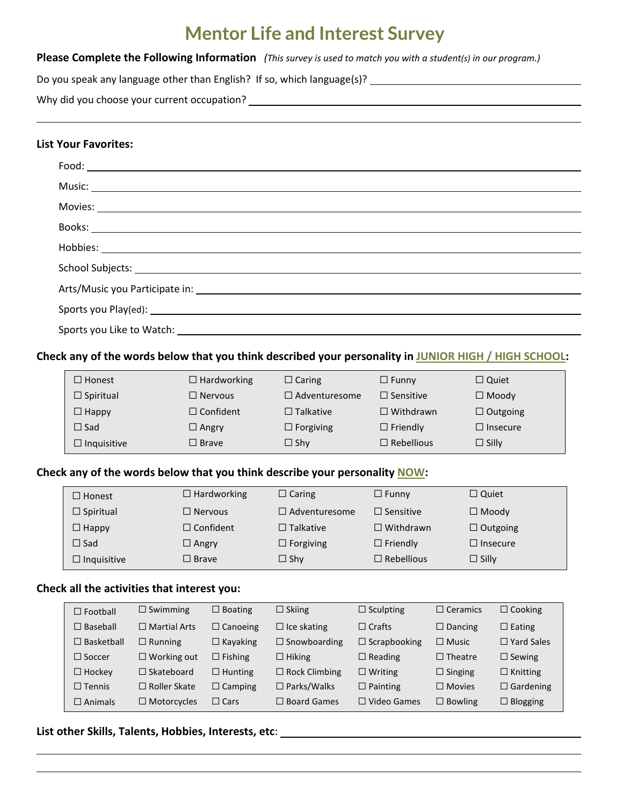## **Mentor Life and Interest Survey**

|  | Please Complete the Following Information (This survey is used to match you with a student(s) in our program.) |
|--|----------------------------------------------------------------------------------------------------------------|
|--|----------------------------------------------------------------------------------------------------------------|

| Do you speak any language other than English? If so, which language(s)? |  |  |  |  |
|-------------------------------------------------------------------------|--|--|--|--|
|-------------------------------------------------------------------------|--|--|--|--|

Why did you choose your current occupation?

#### **List Your Favorites:**

#### **Check any of the words below that you think described your personality in JUNIOR HIGH / HIGH SCHOOL:**

| $\Box$ Honest      | $\Box$ Hardworking | $\Box$ Caring        | $\Box$ Funny      | $\Box$ Quiet    |
|--------------------|--------------------|----------------------|-------------------|-----------------|
| $\Box$ Spiritual   | $\Box$ Nervous     | $\Box$ Adventuresome | $\Box$ Sensitive  | $\Box$ Moody    |
| $\Box$ Happy       | $\Box$ Confident   | $\Box$ Talkative     | $\Box$ Withdrawn  | $\Box$ Outgoing |
| $\Box$ Sad         | $\Box$ Angry       | $\Box$ Forgiving     | $\Box$ Friendly   | $\Box$ Insecure |
| $\Box$ Inquisitive | $\square$ Brave    | $\Box$ Shy           | $\Box$ Rebellious | $\Box$ Silly    |

#### **Check any of the words below that you think describe your personality NOW:**

| $\Box$ Honest      | $\Box$ Hardworking | $\Box$ Caring        | $\Box$ Funny      | $\Box$ Quiet    |
|--------------------|--------------------|----------------------|-------------------|-----------------|
| $\Box$ Spiritual   | $\Box$ Nervous     | $\Box$ Adventuresome | $\Box$ Sensitive  | $\Box$ Moody    |
| $\Box$ Happy       | $\Box$ Confident   | $\Box$ Talkative     | $\Box$ Withdrawn  | $\Box$ Outgoing |
| $\Box$ Sad         | $\Box$ Angry       | $\Box$ Forgiving     | $\Box$ Friendly   | $\Box$ Insecure |
| $\Box$ Inquisitive | $\Box$ Brave       | $\Box$ Shy           | $\Box$ Rebellious | $\Box$ Silly    |

#### **Check all the activities that interest you:**

| $\Box$ Football   | $\Box$ Swimming     | $\Box$ Boating  | $\Box$ Skiing        | $\Box$ Sculpting    | $\Box$ Ceramics | $\Box$ Cooking    |
|-------------------|---------------------|-----------------|----------------------|---------------------|-----------------|-------------------|
| $\Box$ Baseball   | $\Box$ Martial Arts | $\Box$ Canoeing | $\Box$ Ice skating   | $\Box$ Crafts       | $\Box$ Dancing  | $\Box$ Eating     |
| $\Box$ Basketball | $\Box$ Running      | $\Box$ Kayaking | $\Box$ Snowboarding  | $\Box$ Scrapbooking | $\Box$ Music    | $\Box$ Yard Sales |
| $\Box$ Soccer     | $\Box$ Working out  | $\Box$ Fishing  | $\Box$ Hiking        | $\Box$ Reading      | $\Box$ Theatre  | $\Box$ Sewing     |
| $\Box$ Hockey     | $\Box$ Skateboard   | $\Box$ Hunting  | $\Box$ Rock Climbing | $\Box$ Writing      | $\Box$ Singing  | $\Box$ Knitting   |
| $\Box$ Tennis     | $\Box$ Roller Skate | $\Box$ Camping  | $\Box$ Parks/Walks   | $\Box$ Painting     | $\Box$ Movies   | $\Box$ Gardening  |
| $\Box$ Animals    | $\Box$ Motorcycles  | $\Box$ Cars     | $\Box$ Board Games   | $\Box$ Video Games  | $\Box$ Bowling  | $\Box$ Blogging   |

**List other Skills, Talents, Hobbies, Interests, etc**: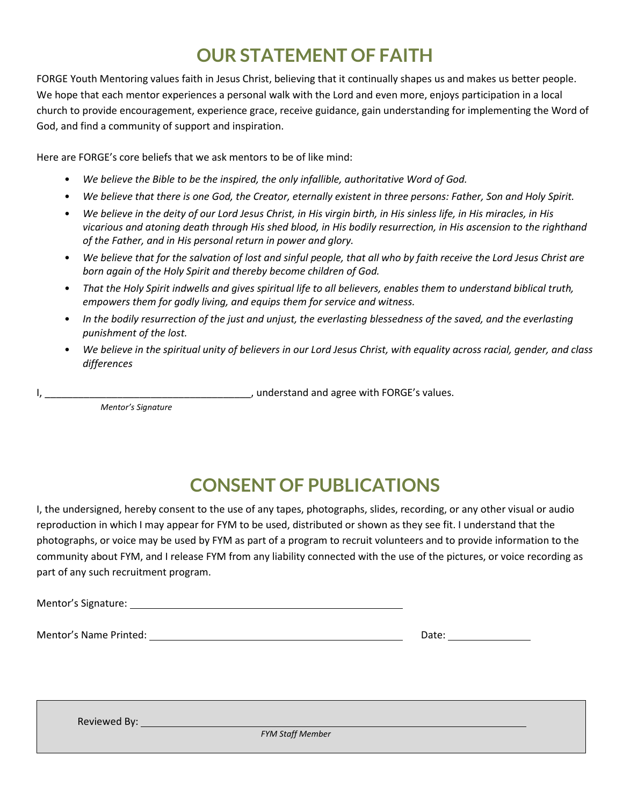# **OUR STATEMENT OF FAITH**

FORGE Youth Mentoring values faith in Jesus Christ, believing that it continually shapes us and makes us better people. We hope that each mentor experiences a personal walk with the Lord and even more, enjoys participation in a local church to provide encouragement, experience grace, receive guidance, gain understanding for implementing the Word of God, and find a community of support and inspiration.

Here are FORGE's core beliefs that we ask mentors to be of like mind:

- *We believe the Bible to be the inspired, the only infallible, authoritative Word of God.*
- *We believe that there is one God, the Creator, eternally existent in three persons: Father, Son and Holy Spirit.*
- *We believe in the deity of our Lord Jesus Christ, in His virgin birth, in His sinless life, in His miracles, in His vicarious and atoning death through His shed blood, in His bodily resurrection, in His ascension to the righthand of the Father, and in His personal return in power and glory.*
- *We believe that for the salvation of lost and sinful people, that all who by faith receive the Lord Jesus Christ are born again of the Holy Spirit and thereby become children of God.*
- *That the Holy Spirit indwells and gives spiritual life to all believers, enables them to understand biblical truth, empowers them for godly living, and equips them for service and witness.*
- *In the bodily resurrection of the just and unjust, the everlasting blessedness of the saved, and the everlasting punishment of the lost.*
- *We believe in the spiritual unity of believers in our Lord Jesus Christ, with equality across racial, gender, and class differences*

I, \_\_\_\_\_\_\_\_\_\_\_\_\_\_\_\_\_\_\_\_\_\_\_\_\_\_\_\_\_\_\_\_\_\_\_\_\_, understand and agree with FORGE's values.

*Mentor's Signature* 

# **CONSENT OF PUBLICATIONS**

I, the undersigned, hereby consent to the use of any tapes, photographs, slides, recording, or any other visual or audio reproduction in which I may appear for FYM to be used, distributed or shown as they see fit. I understand that the photographs, or voice may be used by FYM as part of a program to recruit volunteers and to provide information to the community about FYM, and I release FYM from any liability connected with the use of the pictures, or voice recording as part of any such recruitment program.

Mentor's Signature:

Mentor's Name Printed: Date:

Reviewed By:

*FYM Staff Member*